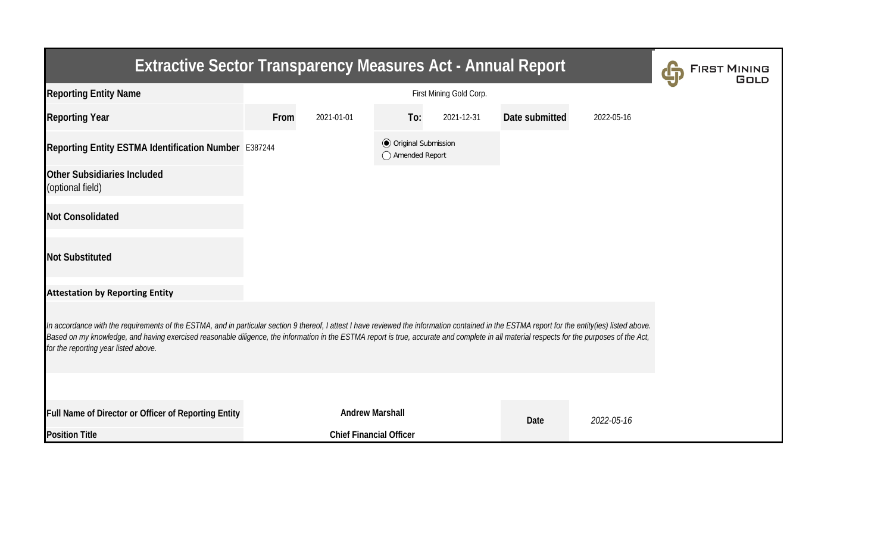| <b>Extractive Sector Transparency Measures Act - Annual Report</b>                                                                                                                                                                                                                                                                                                                                                                    | <b>FIRST MINING</b> |                                |                                                |            |                |            |  |  |  |  |
|---------------------------------------------------------------------------------------------------------------------------------------------------------------------------------------------------------------------------------------------------------------------------------------------------------------------------------------------------------------------------------------------------------------------------------------|---------------------|--------------------------------|------------------------------------------------|------------|----------------|------------|--|--|--|--|
| <b>Reporting Entity Name</b>                                                                                                                                                                                                                                                                                                                                                                                                          |                     |                                |                                                |            |                |            |  |  |  |  |
| <b>Reporting Year</b>                                                                                                                                                                                                                                                                                                                                                                                                                 | From                | 2021-01-01                     | To:                                            | 2021-12-31 | Date submitted | 2022-05-16 |  |  |  |  |
| Reporting Entity ESTMA Identification Number E387244                                                                                                                                                                                                                                                                                                                                                                                  |                     |                                | <b>◎</b> Original Submission<br>Amended Report |            |                |            |  |  |  |  |
| <b>Other Subsidiaries Included</b><br>(optional field)                                                                                                                                                                                                                                                                                                                                                                                |                     |                                |                                                |            |                |            |  |  |  |  |
| <b>Not Consolidated</b>                                                                                                                                                                                                                                                                                                                                                                                                               |                     |                                |                                                |            |                |            |  |  |  |  |
| <b>Not Substituted</b>                                                                                                                                                                                                                                                                                                                                                                                                                |                     |                                |                                                |            |                |            |  |  |  |  |
| <b>Attestation by Reporting Entity</b>                                                                                                                                                                                                                                                                                                                                                                                                |                     |                                |                                                |            |                |            |  |  |  |  |
| In accordance with the requirements of the ESTMA, and in particular section 9 thereof, I attest I have reviewed the information contained in the ESTMA report for the entity(ies) listed above.<br>Based on my knowledge, and having exercised reasonable diligence, the information in the ESTMA report is true, accurate and complete in all material respects for the purposes of the Act,<br>for the reporting year listed above. |                     |                                |                                                |            |                |            |  |  |  |  |
|                                                                                                                                                                                                                                                                                                                                                                                                                                       |                     |                                |                                                |            |                |            |  |  |  |  |
| Full Name of Director or Officer of Reporting Entity                                                                                                                                                                                                                                                                                                                                                                                  |                     | <b>Andrew Marshall</b>         |                                                |            | Date           | 2022-05-16 |  |  |  |  |
| <b>Position Title</b>                                                                                                                                                                                                                                                                                                                                                                                                                 |                     | <b>Chief Financial Officer</b> |                                                |            |                |            |  |  |  |  |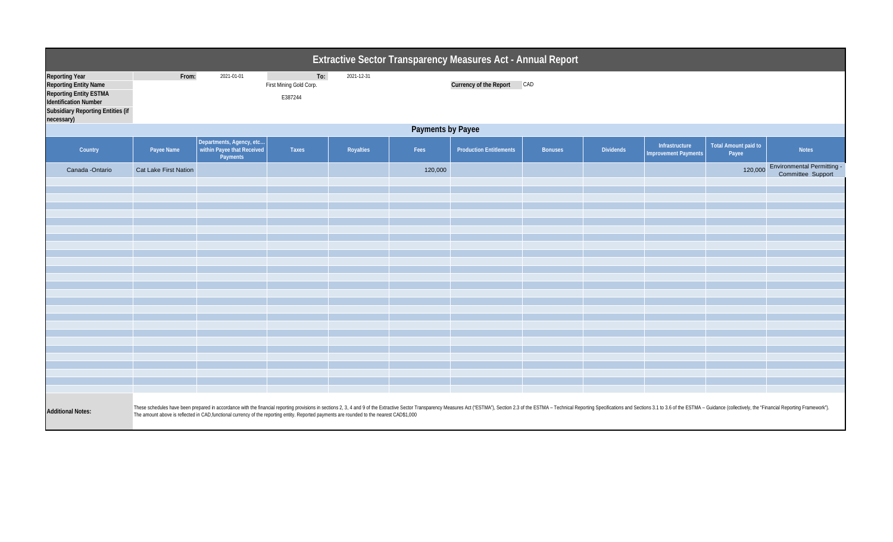| Extractive Sector Transparency Measures Act - Annual Report                                                                                                                      |                                                                                                                                                                                                                                                                                                                                                                              |                                                                    |                                           |            |         |                                |                |                  |                                               |                                      |                                                        |  |  |
|----------------------------------------------------------------------------------------------------------------------------------------------------------------------------------|------------------------------------------------------------------------------------------------------------------------------------------------------------------------------------------------------------------------------------------------------------------------------------------------------------------------------------------------------------------------------|--------------------------------------------------------------------|-------------------------------------------|------------|---------|--------------------------------|----------------|------------------|-----------------------------------------------|--------------------------------------|--------------------------------------------------------|--|--|
| <b>Reporting Year</b><br><b>Reporting Entity Name</b><br><b>Reporting Entity ESTMA</b><br><b>Identification Number</b><br><b>Subsidiary Reporting Entities (if</b><br>necessary) | From:                                                                                                                                                                                                                                                                                                                                                                        | 2021-01-01                                                         | To:<br>First Mining Gold Corp.<br>E387244 | 2021-12-31 |         | Currency of the Report CAD     |                |                  |                                               |                                      |                                                        |  |  |
|                                                                                                                                                                                  | Payments by Payee                                                                                                                                                                                                                                                                                                                                                            |                                                                    |                                           |            |         |                                |                |                  |                                               |                                      |                                                        |  |  |
| Country                                                                                                                                                                          | Payee Name                                                                                                                                                                                                                                                                                                                                                                   | Departments, Agency, etc<br>within Payee that Received<br>Payments | Taxes                                     | Royalties  | Fees    | <b>Production Entitlements</b> | <b>Bonuses</b> | <b>Dividends</b> | Infrastructure<br><b>Improvement Payments</b> | <b>Total Amount paid to</b><br>Payee | <b>Notes</b>                                           |  |  |
| Canada - Ontario                                                                                                                                                                 | Cat Lake First Nation                                                                                                                                                                                                                                                                                                                                                        |                                                                    |                                           |            | 120,000 |                                |                |                  |                                               | 120,000                              | <b>Environmental Permitting -</b><br>Committee Support |  |  |
|                                                                                                                                                                                  |                                                                                                                                                                                                                                                                                                                                                                              |                                                                    |                                           |            |         |                                |                |                  |                                               |                                      |                                                        |  |  |
|                                                                                                                                                                                  |                                                                                                                                                                                                                                                                                                                                                                              |                                                                    |                                           |            |         |                                |                |                  |                                               |                                      |                                                        |  |  |
|                                                                                                                                                                                  |                                                                                                                                                                                                                                                                                                                                                                              |                                                                    |                                           |            |         |                                |                |                  |                                               |                                      |                                                        |  |  |
|                                                                                                                                                                                  |                                                                                                                                                                                                                                                                                                                                                                              |                                                                    |                                           |            |         |                                |                |                  |                                               |                                      |                                                        |  |  |
|                                                                                                                                                                                  |                                                                                                                                                                                                                                                                                                                                                                              |                                                                    |                                           |            |         |                                |                |                  |                                               |                                      |                                                        |  |  |
|                                                                                                                                                                                  |                                                                                                                                                                                                                                                                                                                                                                              |                                                                    |                                           |            |         |                                |                |                  |                                               |                                      |                                                        |  |  |
|                                                                                                                                                                                  |                                                                                                                                                                                                                                                                                                                                                                              |                                                                    |                                           |            |         |                                |                |                  |                                               |                                      |                                                        |  |  |
|                                                                                                                                                                                  |                                                                                                                                                                                                                                                                                                                                                                              |                                                                    |                                           |            |         |                                |                |                  |                                               |                                      |                                                        |  |  |
|                                                                                                                                                                                  |                                                                                                                                                                                                                                                                                                                                                                              |                                                                    |                                           |            |         |                                |                |                  |                                               |                                      |                                                        |  |  |
|                                                                                                                                                                                  |                                                                                                                                                                                                                                                                                                                                                                              |                                                                    |                                           |            |         |                                |                |                  |                                               |                                      |                                                        |  |  |
|                                                                                                                                                                                  |                                                                                                                                                                                                                                                                                                                                                                              |                                                                    |                                           |            |         |                                |                |                  |                                               |                                      |                                                        |  |  |
|                                                                                                                                                                                  |                                                                                                                                                                                                                                                                                                                                                                              |                                                                    |                                           |            |         |                                |                |                  |                                               |                                      |                                                        |  |  |
|                                                                                                                                                                                  |                                                                                                                                                                                                                                                                                                                                                                              |                                                                    |                                           |            |         |                                |                |                  |                                               |                                      |                                                        |  |  |
|                                                                                                                                                                                  |                                                                                                                                                                                                                                                                                                                                                                              |                                                                    |                                           |            |         |                                |                |                  |                                               |                                      |                                                        |  |  |
|                                                                                                                                                                                  |                                                                                                                                                                                                                                                                                                                                                                              |                                                                    |                                           |            |         |                                |                |                  |                                               |                                      |                                                        |  |  |
| <b>Additional Notes:</b>                                                                                                                                                         | These schedules have been prepared in accordance with the financial reporting provisions in sections 2, 3, 4 and 9 of the Extractive Sector Transparency Measures Act ('ESTMA'), Section 2.3 of the ESTMA - Technical Reportin<br>The amount above is reflected in CAD, functional currency of the reporting entity. Reported payments are rounded to the nearest CAD\$1,000 |                                                                    |                                           |            |         |                                |                |                  |                                               |                                      |                                                        |  |  |